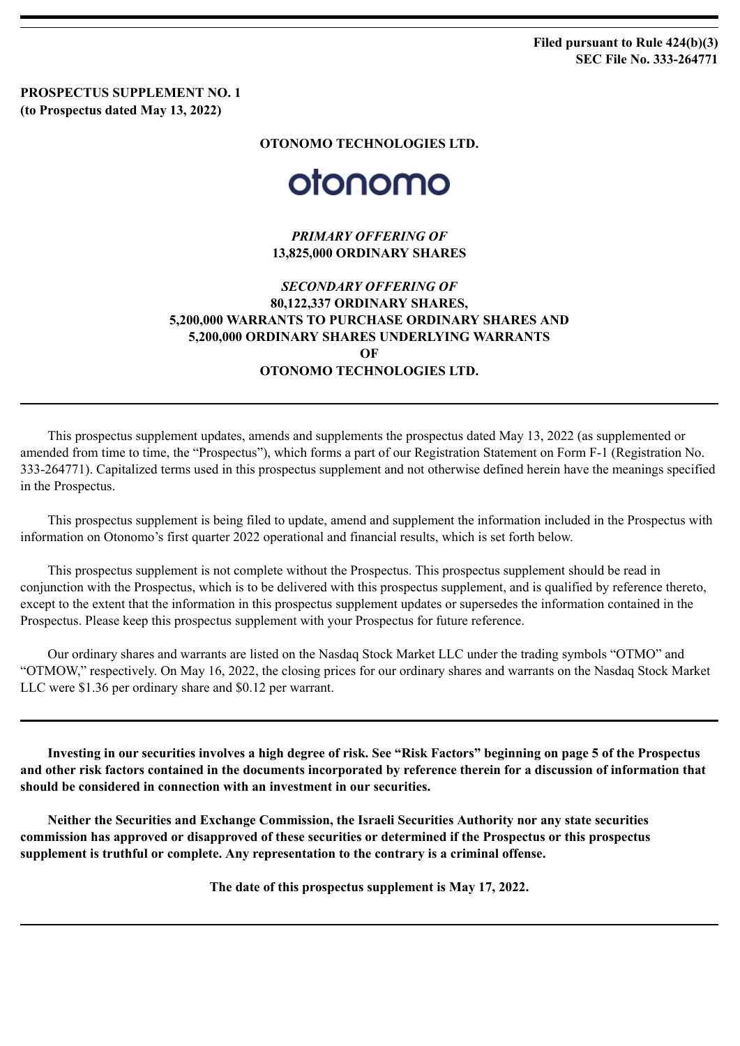**Filed pursuant to Rule 424(b)(3) SEC File No. 333-264771**

**PROSPECTUS SUPPLEMENT NO. 1 (to Prospectus dated May 13, 2022)**

**OTONOMO TECHNOLOGIES LTD.**

# otonomo

*PRIMARY OFFERING OF* **13,825,000 ORDINARY SHARES**

## *SECONDARY OFFERING OF* **80,122,337 ORDINARY SHARES, 5,200,000 WARRANTS TO PURCHASE ORDINARY SHARES AND 5,200,000 ORDINARY SHARES UNDERLYING WARRANTS OF OTONOMO TECHNOLOGIES LTD.**

This prospectus supplement updates, amends and supplements the prospectus dated May 13, 2022 (as supplemented or amended from time to time, the "Prospectus"), which forms a part of our Registration Statement on Form F-1 (Registration No. 333-264771). Capitalized terms used in this prospectus supplement and not otherwise defined herein have the meanings specified in the Prospectus.

This prospectus supplement is being filed to update, amend and supplement the information included in the Prospectus with information on Otonomo's first quarter 2022 operational and financial results, which is set forth below.

This prospectus supplement is not complete without the Prospectus. This prospectus supplement should be read in conjunction with the Prospectus, which is to be delivered with this prospectus supplement, and is qualified by reference thereto, except to the extent that the information in this prospectus supplement updates or supersedes the information contained in the Prospectus. Please keep this prospectus supplement with your Prospectus for future reference.

Our ordinary shares and warrants are listed on the Nasdaq Stock Market LLC under the trading symbols "OTMO" and "OTMOW," respectively. On May 16, 2022, the closing prices for our ordinary shares and warrants on the Nasdaq Stock Market LLC were \$1.36 per ordinary share and \$0.12 per warrant.

**Investing in our securities involves a high degree of risk. See "Risk Factors" beginning on page 5 of the Prospectus and other risk factors contained in the documents incorporated by reference therein for a discussion of information that should be considered in connection with an investment in our securities.**

**Neither the Securities and Exchange Commission, the Israeli Securities Authority nor any state securities commission has approved or disapproved of these securities or determined if the Prospectus or this prospectus supplement is truthful or complete. Any representation to the contrary is a criminal offense.**

**The date of this prospectus supplement is May 17, 2022.**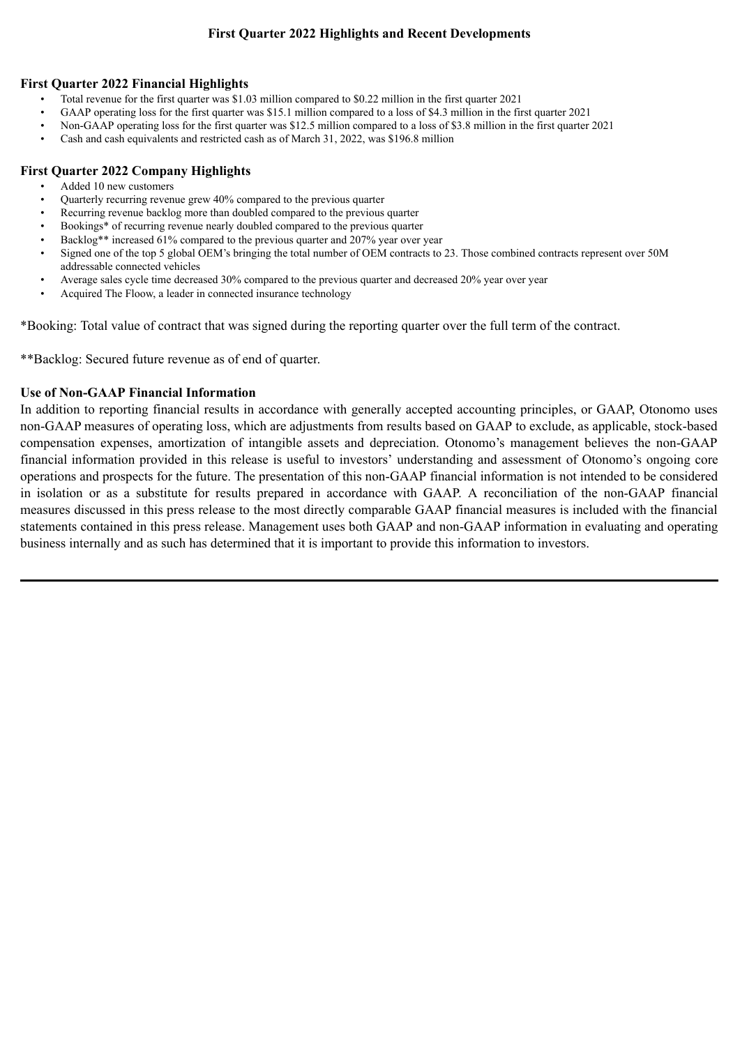## **First Quarter 2022 Highlights and Recent Developments**

#### **First Quarter 2022 Financial Highlights**

- Total revenue for the first quarter was \$1.03 million compared to \$0.22 million in the first quarter 2021
- GAAP operating loss for the first quarter was \$15.1 million compared to a loss of \$4.3 million in the first quarter 2021
- Non-GAAP operating loss for the first quarter was \$12.5 million compared to a loss of \$3.8 million in the first quarter 2021
- Cash and cash equivalents and restricted cash as of March 31, 2022, was \$196.8 million

#### **First Quarter 2022 Company Highlights**

- Added 10 new customers
- Quarterly recurring revenue grew 40% compared to the previous quarter
- Recurring revenue backlog more than doubled compared to the previous quarter
- Bookings\* of recurring revenue nearly doubled compared to the previous quarter
- Backlog\*\* increased 61% compared to the previous quarter and 207% year over year
- Signed one of the top 5 global OEM's bringing the total number of OEM contracts to 23. Those combined contracts represent over 50M addressable connected vehicles
- Average sales cycle time decreased 30% compared to the previous quarter and decreased 20% year over year
- Acquired The Floow, a leader in connected insurance technology

\*Booking: Total value of contract that was signed during the reporting quarter over the full term of the contract.

\*\*Backlog: Secured future revenue as of end of quarter.

#### **Use of Non-GAAP Financial Information**

In addition to reporting financial results in accordance with generally accepted accounting principles, or GAAP, Otonomo uses non-GAAP measures of operating loss, which are adjustments from results based on GAAP to exclude, as applicable, stock-based compensation expenses, amortization of intangible assets and depreciation. Otonomo's management believes the non-GAAP financial information provided in this release is useful to investors' understanding and assessment of Otonomo's ongoing core operations and prospects for the future. The presentation of this non-GAAP financial information is not intended to be considered in isolation or as a substitute for results prepared in accordance with GAAP. A reconciliation of the non-GAAP financial measures discussed in this press release to the most directly comparable GAAP financial measures is included with the financial statements contained in this press release. Management uses both GAAP and non-GAAP information in evaluating and operating business internally and as such has determined that it is important to provide this information to investors.